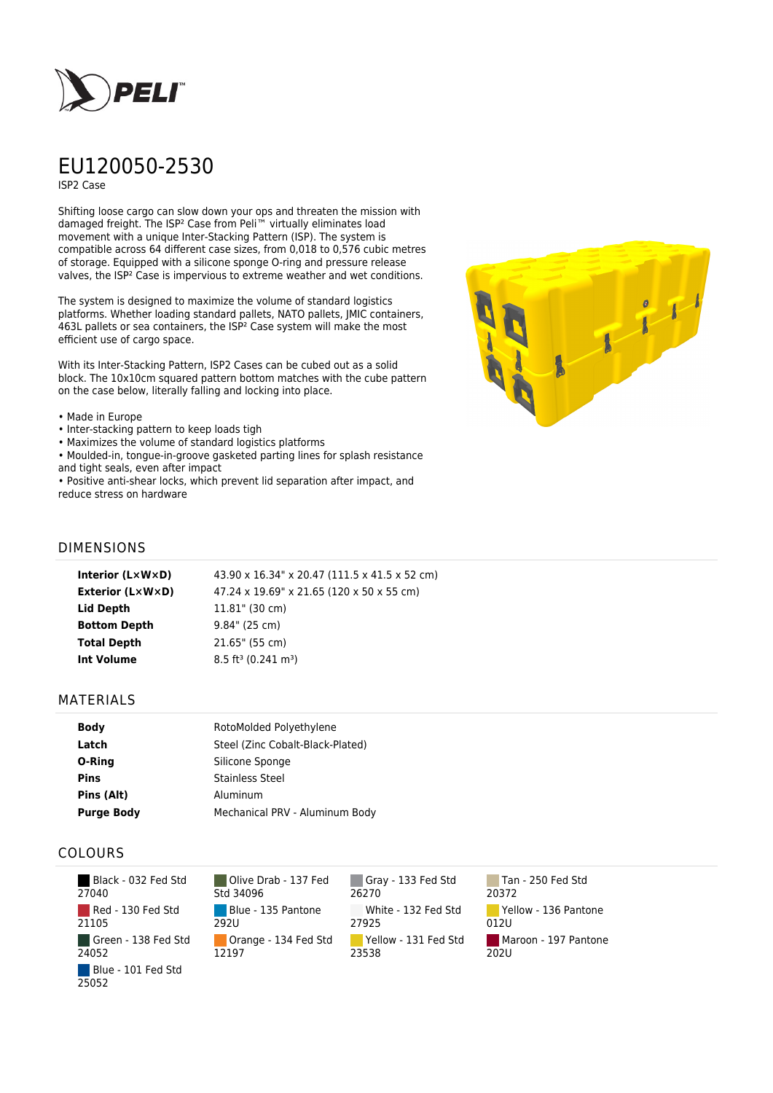

# EU120050-2530

ISP2 Case

Shifting loose cargo can slow down your ops and threaten the mission with damaged freight. The ISP² Case from Peli™ virtually eliminates load movement with a unique Inter-Stacking Pattern (ISP). The system is compatible across 64 different case sizes, from 0,018 to 0,576 cubic metres of storage. Equipped with a silicone sponge O-ring and pressure release valves, the ISP² Case is impervious to extreme weather and wet conditions.

The system is designed to maximize the volume of standard logistics platforms. Whether loading standard pallets, NATO pallets, JMIC containers, 463L pallets or sea containers, the ISP² Case system will make the most efficient use of cargo space.

With its Inter-Stacking Pattern, ISP2 Cases can be cubed out as a solid block. The 10x10cm squared pattern bottom matches with the cube pattern on the case below, literally falling and locking into place.

#### • Made in Europe

- Inter-stacking pattern to keep loads tigh
- Maximizes the volume of standard logistics platforms

• Moulded-in, tongue-in-groove gasketed parting lines for splash resistance and tight seals, even after impact

• Positive anti-shear locks, which prevent lid separation after impact, and reduce stress on hardware



## DIMENSIONS

| Interior (LxWxD)        | 43.90 x 16.34" x 20.47 (111.5 x 41.5 x 52 cm) |
|-------------------------|-----------------------------------------------|
| <b>Exterior (L×W×D)</b> | 47.24 x 19.69" x 21.65 (120 x 50 x 55 cm)     |
| Lid Depth               | $11.81$ " (30 cm)                             |
| <b>Bottom Depth</b>     | $9.84$ " (25 cm)                              |
| <b>Total Depth</b>      | 21.65" (55 cm)                                |
| Int Volume              | $8.5 \text{ ft}^3 (0.241 \text{ m}^3)$        |

### MATERIALS

| Body              | RotoMolded Polyethylene          |
|-------------------|----------------------------------|
| Latch             | Steel (Zinc Cobalt-Black-Plated) |
| O-Ring            | Silicone Sponge                  |
| <b>Pins</b>       | <b>Stainless Steel</b>           |
| Pins (Alt)        | Aluminum                         |
| <b>Purge Body</b> | Mechanical PRV - Aluminum Body   |

## COLOURS

 Black - 032 Fed Std 27040 Red - 130 Fed Std 21105 Green - 138 Fed Std 24052 Blue - 101 Fed Std 25052

Olive Drab - 137 Fed Std 34096 Blue - 135 Pantone 292U Orange - 134 Fed Std 12197

Gray - 133 Fed Std 26270 White - 132 Fed Std 27925 Yellow - 131 Fed Std 23538

Tan - 250 Fed Std 20372 Yellow - 136 Pantone 012U Maroon - 197 Pantone  $202U$